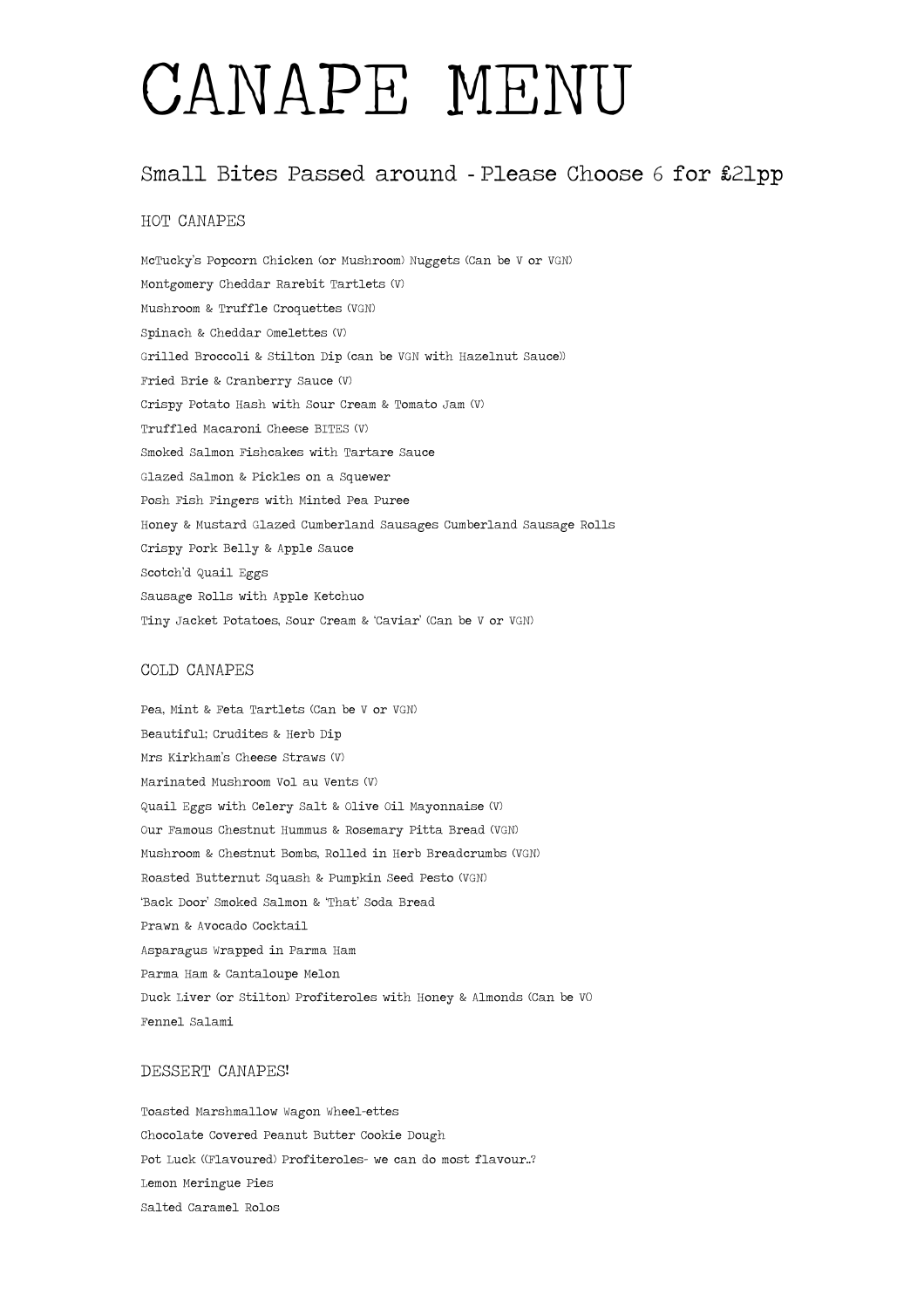# CANAPE MENU

### Small Bites Passed around - Please Choose 6 for £21pp

#### HOT CANAPES

McTucky's Popcorn Chicken (or Mushroom) Nuggets (Can be V or VGN) Montgomery Cheddar Rarebit Tartlets (V) Mushroom & Truffle Croquettes (VGN) Spinach & Cheddar Omelettes (V) Grilled Broccoli & Stilton Dip (can be VGN with Hazelnut Sauce)) Fried Brie & Cranberry Sauce (V) Crispy Potato Hash with Sour Cream & Tomato Jam (V) Truffled Macaroni Cheese BITES (V) Smoked Salmon Fishcakes with Tartare Sauce Glazed Salmon & Pickles on a Squewer Posh Fish Fingers with Minted Pea Puree Honey & Mustard Glazed Cumberland Sausages Cumberland Sausage Rolls Crispy Pork Belly & Apple Sauce Scotch'd Quail Eggs Sausage Rolls with Apple Ketchuo Tiny Jacket Potatoes, Sour Cream & 'Caviar' (Can be V or VGN)

#### COLD CANAPES

Pea, Mint & Feta Tartlets (Can be V or VGN) Beautiful; Crudites & Herb Dip Mrs Kirkham's Cheese Straws (V) Marinated Mushroom Vol au Vents (V) Quail Eggs with Celery Salt & Olive Oil Mayonnaise (V) Our Famous Chestnut Hummus & Rosemary Pitta Bread (VGN) Mushroom & Chestnut Bombs, Rolled in Herb Breadcrumbs (VGN) Roasted Butternut Squash & Pumpkin Seed Pesto (VGN) 'Back Door' Smoked Salmon & 'That' Soda Bread Prawn & Avocado Cocktail Asparagus Wrapped in Parma Ham Parma Ham & Cantaloupe Melon Duck Liver (or Stilton) Profiteroles with Honey & Almonds (Can be V() Fennel Salami

#### DESSERT CANAPES!

Toasted Marshmallow Wagon Wheel-ettes Chocolate Covered Peanut Butter Cookie Dough Pot Luck ((Flavoured) Profiteroles- we can do most flavour..? Lemon Meringue Pies Salted Caramel Rolos